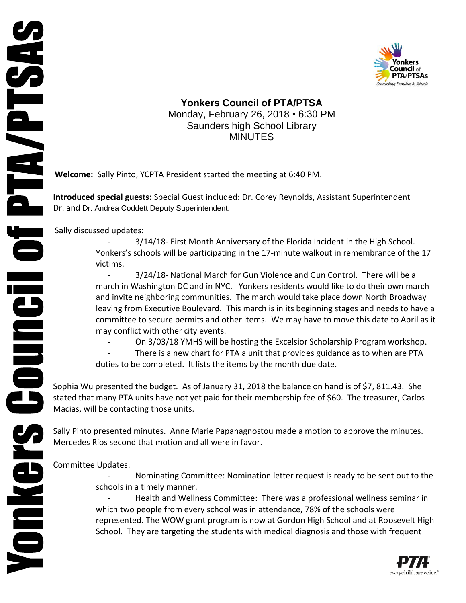

**Yonkers Council of PTA/PTSA** Monday, February 26, 2018 • 6:30 PM Saunders high School Library MINUTES

**Welcome:** Sally Pinto, YCPTA President started the meeting at 6:40 PM.

**Introduced special guests:** Special Guest included: Dr. Corey Reynolds, Assistant Superintendent Dr. and Dr. Andrea Coddett Deputy Superintendent.

Sally discussed updates:

**NOINGIS COUNCIL OF PTAYPTSAS** 

3/14/18- First Month Anniversary of the Florida Incident in the High School. Yonkers's schools will be participating in the 17-minute walkout in remembrance of the 17 victims.

- 3/24/18- National March for Gun Violence and Gun Control. There will be a march in Washington DC and in NYC. Yonkers residents would like to do their own march and invite neighboring communities. The march would take place down North Broadway leaving from Executive Boulevard. This march is in its beginning stages and needs to have a committee to secure permits and other items. We may have to move this date to April as it may conflict with other city events.

- On 3/03/18 YMHS will be hosting the Excelsior Scholarship Program workshop.

There is a new chart for PTA a unit that provides guidance as to when are PTA duties to be completed. It lists the items by the month due date.

Sophia Wu presented the budget. As of January 31, 2018 the balance on hand is of \$7, 811.43. She stated that many PTA units have not yet paid for their membership fee of \$60. The treasurer, Carlos Macias, will be contacting those units.

Sally Pinto presented minutes. Anne Marie Papanagnostou made a motion to approve the minutes. Mercedes Rios second that motion and all were in favor.

Committee Updates:

Nominating Committee: Nomination letter request is ready to be sent out to the schools in a timely manner.

Health and Wellness Committee: There was a professional wellness seminar in which two people from every school was in attendance, 78% of the schools were represented. The WOW grant program is now at Gordon High School and at Roosevelt High School. They are targeting the students with medical diagnosis and those with frequent